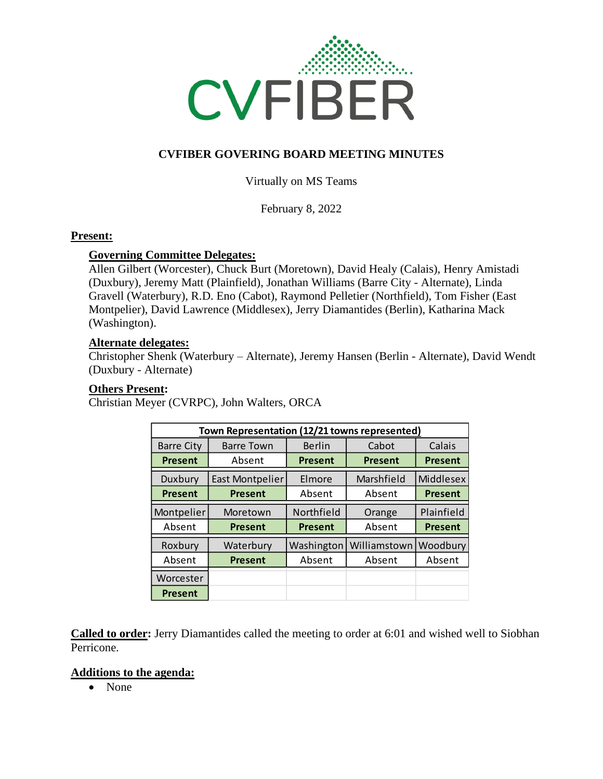

## **CVFIBER GOVERING BOARD MEETING MINUTES**

Virtually on MS Teams

February 8, 2022

#### **Present:**

### **Governing Committee Delegates:**

Allen Gilbert (Worcester), Chuck Burt (Moretown), David Healy (Calais), Henry Amistadi (Duxbury), Jeremy Matt (Plainfield), Jonathan Williams (Barre City - Alternate), Linda Gravell (Waterbury), R.D. Eno (Cabot), Raymond Pelletier (Northfield), Tom Fisher (East Montpelier), David Lawrence (Middlesex), Jerry Diamantides (Berlin), Katharina Mack (Washington).

### **Alternate delegates:**

Christopher Shenk (Waterbury – Alternate), Jeremy Hansen (Berlin - Alternate), David Wendt (Duxbury - Alternate)

### **Others Present:**

Christian Meyer (CVRPC), John Walters, ORCA

| Town Representation (12/21 towns represented) |                        |                |                |                |
|-----------------------------------------------|------------------------|----------------|----------------|----------------|
| <b>Barre City</b>                             | <b>Barre Town</b>      | <b>Berlin</b>  | Cabot          | Calais         |
| <b>Present</b>                                | Absent                 | <b>Present</b> | <b>Present</b> | <b>Present</b> |
| Duxbury                                       | <b>East Montpelier</b> | Elmore         | Marshfield     | Middlesex      |
| <b>Present</b>                                | <b>Present</b>         | Absent         | Absent         | <b>Present</b> |
| Montpelier                                    | Moretown               | Northfield     | Orange         | Plainfield     |
| Absent                                        | <b>Present</b>         | <b>Present</b> | Absent         | <b>Present</b> |
| Roxbury                                       | Waterbury              | Washington     | Williamstown   | Woodbury       |
| Absent                                        | <b>Present</b>         | Absent         | Absent         | Absent         |
| Worcester                                     |                        |                |                |                |
| <b>Present</b>                                |                        |                |                |                |

**Called to order:** Jerry Diamantides called the meeting to order at 6:01 and wished well to Siobhan Perricone.

#### **Additions to the agenda:**

• None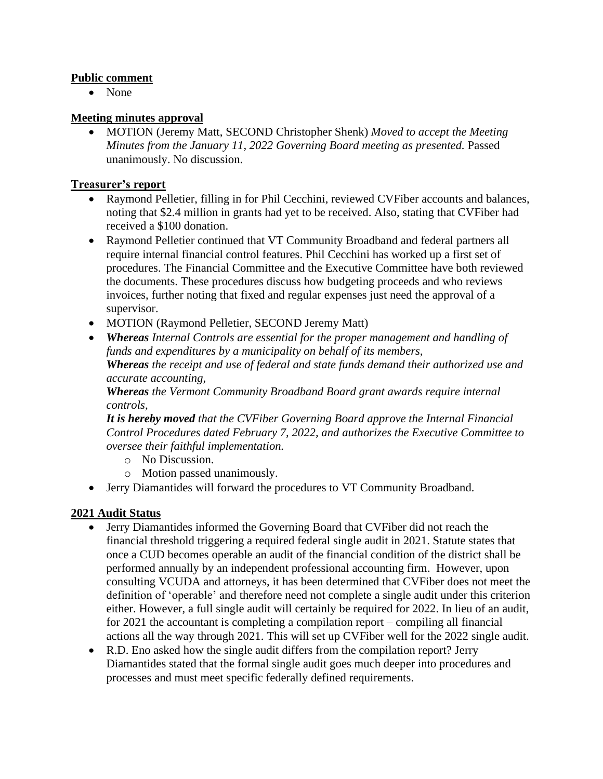### **Public comment**

• None

### **Meeting minutes approval**

• MOTION (Jeremy Matt, SECOND Christopher Shenk) *Moved to accept the Meeting Minutes from the January 11, 2022 Governing Board meeting as presented.* Passed unanimously. No discussion.

### **Treasurer's report**

- Raymond Pelletier, filling in for Phil Cecchini, reviewed CVFiber accounts and balances, noting that \$2.4 million in grants had yet to be received. Also, stating that CVFiber had received a \$100 donation.
- Raymond Pelletier continued that VT Community Broadband and federal partners all require internal financial control features. Phil Cecchini has worked up a first set of procedures. The Financial Committee and the Executive Committee have both reviewed the documents. These procedures discuss how budgeting proceeds and who reviews invoices, further noting that fixed and regular expenses just need the approval of a supervisor.
- MOTION (Raymond Pelletier, SECOND Jeremy Matt)
- *Whereas Internal Controls are essential for the proper management and handling of funds and expenditures by a municipality on behalf of its members, Whereas the receipt and use of federal and state funds demand their authorized use and accurate accounting,*

*Whereas the Vermont Community Broadband Board grant awards require internal controls,*

*It is hereby moved that the CVFiber Governing Board approve the Internal Financial Control Procedures dated February 7, 2022, and authorizes the Executive Committee to oversee their faithful implementation.*

- o No Discussion.
- o Motion passed unanimously.
- Jerry Diamantides will forward the procedures to VT Community Broadband.

### **2021 Audit Status**

- Jerry Diamantides informed the Governing Board that CVFiber did not reach the financial threshold triggering a required federal single audit in 2021. Statute states that once a CUD becomes operable an audit of the financial condition of the district shall be performed annually by an independent professional accounting firm. However, upon consulting VCUDA and attorneys, it has been determined that CVFiber does not meet the definition of 'operable' and therefore need not complete a single audit under this criterion either. However, a full single audit will certainly be required for 2022. In lieu of an audit, for 2021 the accountant is completing a compilation report – compiling all financial actions all the way through 2021. This will set up CVFiber well for the 2022 single audit.
- R.D. Eno asked how the single audit differs from the compilation report? Jerry Diamantides stated that the formal single audit goes much deeper into procedures and processes and must meet specific federally defined requirements.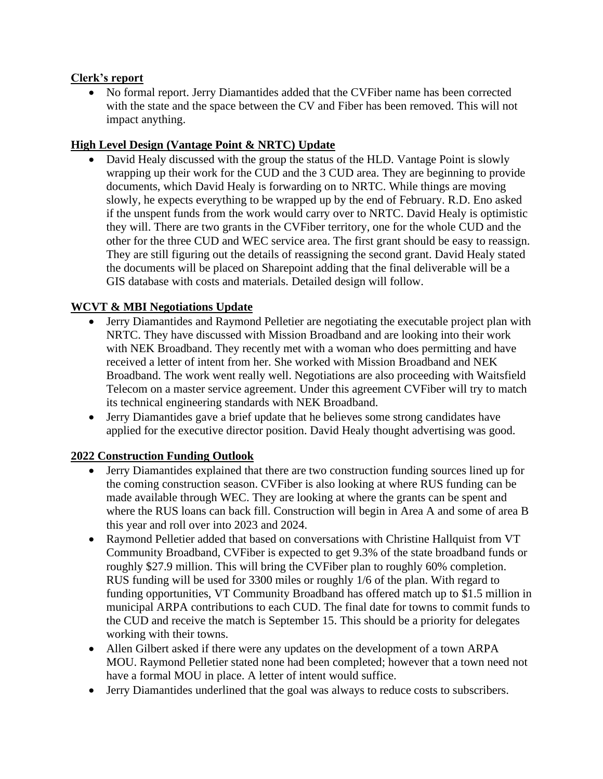### **Clerk's report**

• No formal report. Jerry Diamantides added that the CVFiber name has been corrected with the state and the space between the CV and Fiber has been removed. This will not impact anything.

## **High Level Design (Vantage Point & NRTC) Update**

• David Healy discussed with the group the status of the HLD. Vantage Point is slowly wrapping up their work for the CUD and the 3 CUD area. They are beginning to provide documents, which David Healy is forwarding on to NRTC. While things are moving slowly, he expects everything to be wrapped up by the end of February. R.D. Eno asked if the unspent funds from the work would carry over to NRTC. David Healy is optimistic they will. There are two grants in the CVFiber territory, one for the whole CUD and the other for the three CUD and WEC service area. The first grant should be easy to reassign. They are still figuring out the details of reassigning the second grant. David Healy stated the documents will be placed on Sharepoint adding that the final deliverable will be a GIS database with costs and materials. Detailed design will follow.

# **WCVT & MBI Negotiations Update**

- Jerry Diamantides and Raymond Pelletier are negotiating the executable project plan with NRTC. They have discussed with Mission Broadband and are looking into their work with NEK Broadband. They recently met with a woman who does permitting and have received a letter of intent from her. She worked with Mission Broadband and NEK Broadband. The work went really well. Negotiations are also proceeding with Waitsfield Telecom on a master service agreement. Under this agreement CVFiber will try to match its technical engineering standards with NEK Broadband.
- Jerry Diamantides gave a brief update that he believes some strong candidates have applied for the executive director position. David Healy thought advertising was good.

# **2022 Construction Funding Outlook**

- Jerry Diamantides explained that there are two construction funding sources lined up for the coming construction season. CVFiber is also looking at where RUS funding can be made available through WEC. They are looking at where the grants can be spent and where the RUS loans can back fill. Construction will begin in Area A and some of area B this year and roll over into 2023 and 2024.
- Raymond Pelletier added that based on conversations with Christine Hallquist from VT Community Broadband, CVFiber is expected to get 9.3% of the state broadband funds or roughly \$27.9 million. This will bring the CVFiber plan to roughly 60% completion. RUS funding will be used for 3300 miles or roughly 1/6 of the plan. With regard to funding opportunities, VT Community Broadband has offered match up to \$1.5 million in municipal ARPA contributions to each CUD. The final date for towns to commit funds to the CUD and receive the match is September 15. This should be a priority for delegates working with their towns.
- Allen Gilbert asked if there were any updates on the development of a town ARPA MOU. Raymond Pelletier stated none had been completed; however that a town need not have a formal MOU in place. A letter of intent would suffice.
- Jerry Diamantides underlined that the goal was always to reduce costs to subscribers.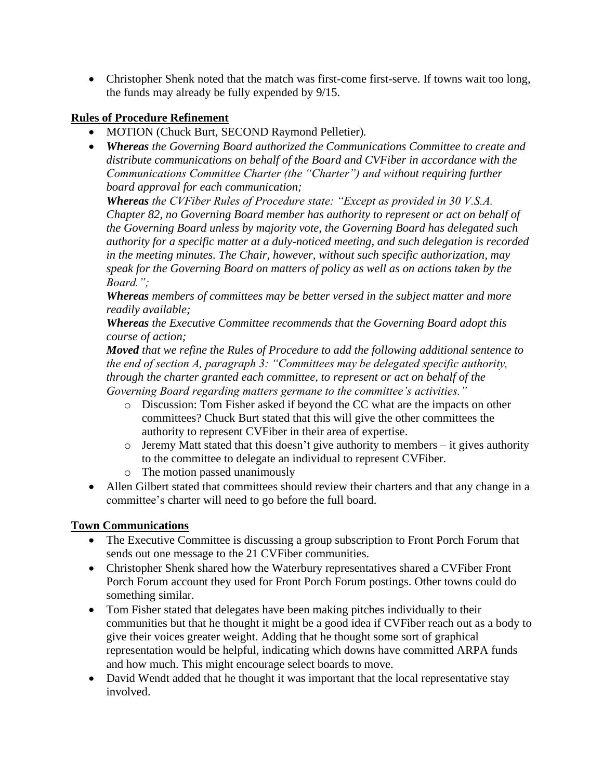• Christopher Shenk noted that the match was first-come first-serve. If towns wait too long, the funds may already be fully expended by 9/15.

## **Rules of Procedure Refinement**

- MOTION (Chuck Burt, SECOND Raymond Pelletier)*.*
- *Whereas the Governing Board authorized the Communications Committee to create and distribute communications on behalf of the Board and CVFiber in accordance with the Communications Committee Charter (the "Charter") and without requiring further board approval for each communication;*

*Whereas the CVFiber Rules of Procedure state: "Except as provided in 30 V.S.A. Chapter 82, no Governing Board member has authority to represent or act on behalf of the Governing Board unless by majority vote, the Governing Board has delegated such authority for a specific matter at a duly-noticed meeting, and such delegation is recorded in the meeting minutes. The Chair, however, without such specific authorization, may speak for the Governing Board on matters of policy as well as on actions taken by the Board.";*

*Whereas members of committees may be better versed in the subject matter and more readily available;*

*Whereas the Executive Committee recommends that the Governing Board adopt this course of action;*

*Moved that we refine the Rules of Procedure to add the following additional sentence to the end of section A, paragraph 3: "Committees may be delegated specific authority, through the charter granted each committee, to represent or act on behalf of the Governing Board regarding matters germane to the committee's activities."*

- o Discussion: Tom Fisher asked if beyond the CC what are the impacts on other committees? Chuck Burt stated that this will give the other committees the authority to represent CVFiber in their area of expertise.
- $\circ$  Jeremy Matt stated that this doesn't give authority to members it gives authority to the committee to delegate an individual to represent CVFiber.
- o The motion passed unanimously
- Allen Gilbert stated that committees should review their charters and that any change in a committee's charter will need to go before the full board.

# **Town Communications**

- The Executive Committee is discussing a group subscription to Front Porch Forum that sends out one message to the 21 CVFiber communities.
- Christopher Shenk shared how the Waterbury representatives shared a CVFiber Front Porch Forum account they used for Front Porch Forum postings. Other towns could do something similar.
- Tom Fisher stated that delegates have been making pitches individually to their communities but that he thought it might be a good idea if CVFiber reach out as a body to give their voices greater weight. Adding that he thought some sort of graphical representation would be helpful, indicating which downs have committed ARPA funds and how much. This might encourage select boards to move.
- David Wendt added that he thought it was important that the local representative stay involved.